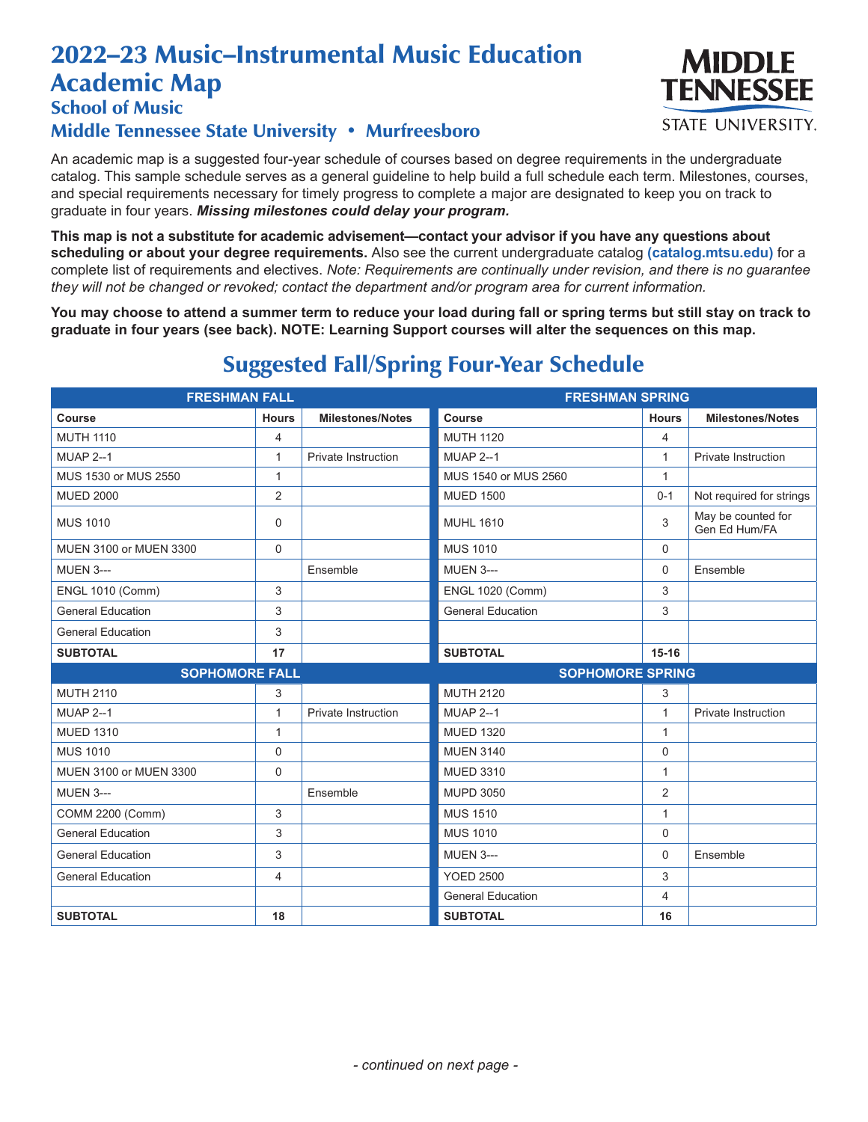# 2022–23 Music–Instrumental Music Education Academic Map



School of Music

#### Middle Tennessee State University • Murfreesboro

An academic map is a suggested four-year schedule of courses based on degree requirements in the undergraduate catalog. This sample schedule serves as a general guideline to help build a full schedule each term. Milestones, courses, and special requirements necessary for timely progress to complete a major are designated to keep you on track to graduate in four years. *Missing milestones could delay your program.*

**This map is not a substitute for academic advisement—contact your advisor if you have any questions about scheduling or about your degree requirements.** Also see the current undergraduate catalog **(catalog.mtsu.edu)** for a complete list of requirements and electives. *Note: Requirements are continually under revision, and there is no guarantee they will not be changed or revoked; contact the department and/or program area for current information.*

**You may choose to attend a summer term to reduce your load during fall or spring terms but still stay on track to graduate in four years (see back). NOTE: Learning Support courses will alter the sequences on this map.**

| <b>FRESHMAN FALL</b>     |                |                         | <b>FRESHMAN SPRING</b>   |              |                                     |
|--------------------------|----------------|-------------------------|--------------------------|--------------|-------------------------------------|
| Course                   | <b>Hours</b>   | <b>Milestones/Notes</b> | Course                   | <b>Hours</b> | <b>Milestones/Notes</b>             |
| <b>MUTH 1110</b>         | $\overline{4}$ |                         | <b>MUTH 1120</b>         | 4            |                                     |
| <b>MUAP 2--1</b>         | $\mathbf{1}$   | Private Instruction     | <b>MUAP 2--1</b>         | $\mathbf{1}$ | <b>Private Instruction</b>          |
| MUS 1530 or MUS 2550     | $\mathbf{1}$   |                         | MUS 1540 or MUS 2560     | $\mathbf{1}$ |                                     |
| <b>MUED 2000</b>         | 2              |                         | <b>MUED 1500</b>         | $0 - 1$      | Not required for strings            |
| <b>MUS 1010</b>          | $\mathbf 0$    |                         | <b>MUHL 1610</b>         | 3            | May be counted for<br>Gen Ed Hum/FA |
| MUEN 3100 or MUEN 3300   | $\mathbf 0$    |                         | <b>MUS 1010</b>          | $\Omega$     |                                     |
| <b>MUEN 3---</b>         |                | Ensemble                | <b>MUEN 3---</b>         | 0            | Ensemble                            |
| <b>ENGL 1010 (Comm)</b>  | 3              |                         | <b>ENGL 1020 (Comm)</b>  | 3            |                                     |
| <b>General Education</b> | 3              |                         | <b>General Education</b> | 3            |                                     |
| <b>General Education</b> | 3              |                         |                          |              |                                     |
| <b>SUBTOTAL</b>          | 17             |                         | <b>SUBTOTAL</b>          | $15 - 16$    |                                     |
|                          |                |                         |                          |              |                                     |
| <b>SOPHOMORE FALL</b>    |                |                         | <b>SOPHOMORE SPRING</b>  |              |                                     |
| <b>MUTH 2110</b>         | 3              |                         | <b>MUTH 2120</b>         | 3            |                                     |
| <b>MUAP 2--1</b>         | $\mathbf{1}$   | Private Instruction     | <b>MUAP 2--1</b>         | $\mathbf{1}$ | Private Instruction                 |
| <b>MUED 1310</b>         | $\mathbf{1}$   |                         | <b>MUED 1320</b>         | $\mathbf{1}$ |                                     |
| <b>MUS 1010</b>          | 0              |                         | <b>MUEN 3140</b>         | 0            |                                     |
| MUEN 3100 or MUEN 3300   | $\mathbf 0$    |                         | <b>MUED 3310</b>         | $\mathbf{1}$ |                                     |
| <b>MUEN 3---</b>         |                | Ensemble                | MUPD 3050                | 2            |                                     |
| COMM 2200 (Comm)         | 3              |                         | <b>MUS 1510</b>          | $\mathbf{1}$ |                                     |
| <b>General Education</b> | 3              |                         | <b>MUS 1010</b>          | 0            |                                     |
| <b>General Education</b> | 3              |                         | <b>MUEN 3---</b>         | 0            | Ensemble                            |
| <b>General Education</b> | 4              |                         | <b>YOED 2500</b>         | 3            |                                     |
|                          |                |                         | <b>General Education</b> | 4            |                                     |

## Suggested Fall/Spring Four-Year Schedule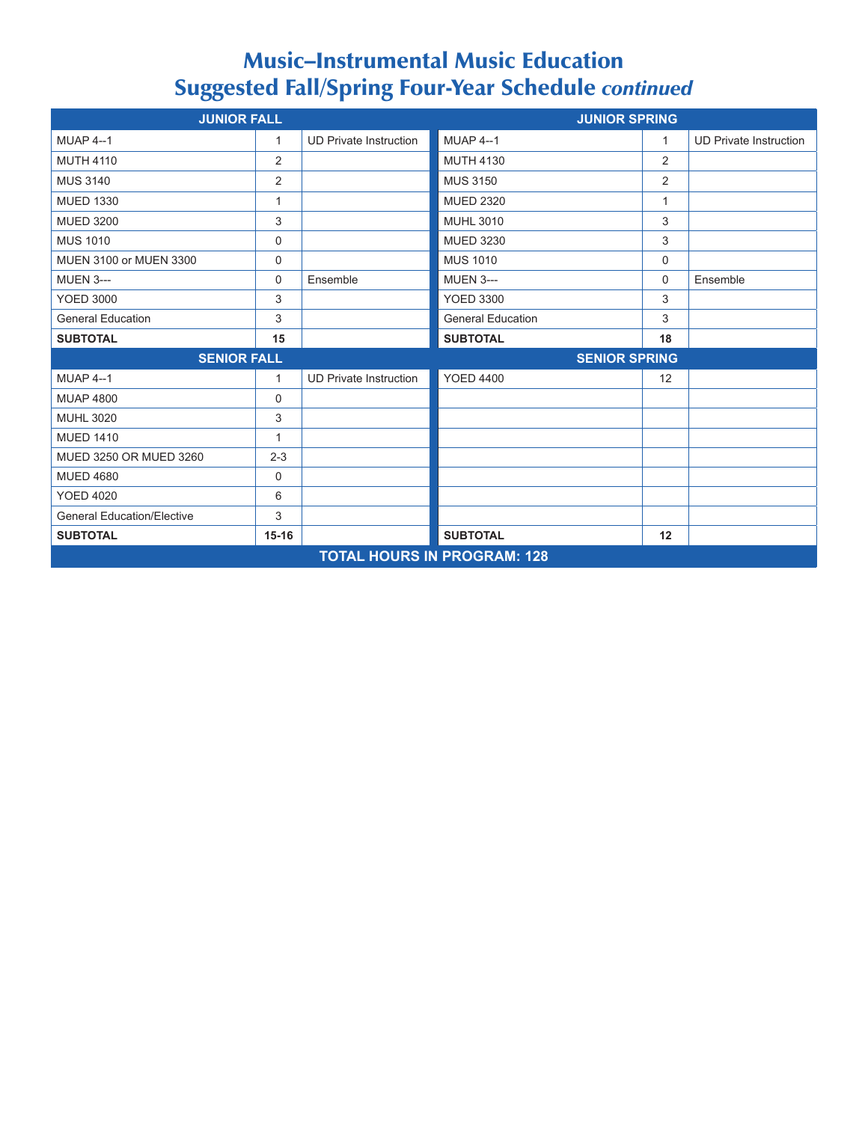### Music–Instrumental Music Education Suggested Fall/Spring Four-Year Schedule *continued*

| <b>JUNIOR FALL</b>                 |                |                               | <b>JUNIOR SPRING</b>     |    |                               |
|------------------------------------|----------------|-------------------------------|--------------------------|----|-------------------------------|
| <b>MUAP 4--1</b>                   | 1              | <b>UD Private Instruction</b> | <b>MUAP 4--1</b>         | 1  | <b>UD Private Instruction</b> |
| <b>MUTH 4110</b>                   | 2              |                               | <b>MUTH 4130</b>         | 2  |                               |
| <b>MUS 3140</b>                    | $\overline{2}$ |                               | <b>MUS 3150</b>          | 2  |                               |
| <b>MUED 1330</b>                   | $\mathbf{1}$   |                               | <b>MUED 2320</b>         | 1  |                               |
| <b>MUED 3200</b>                   | 3              |                               | <b>MUHL 3010</b>         | 3  |                               |
| <b>MUS 1010</b>                    | $\mathbf 0$    |                               | <b>MUED 3230</b>         | 3  |                               |
| MUEN 3100 or MUEN 3300             | 0              |                               | <b>MUS 1010</b>          | 0  |                               |
| <b>MUEN 3---</b>                   | 0              | Ensemble                      | <b>MUEN 3---</b>         | 0  | Ensemble                      |
| <b>YOED 3000</b>                   | 3              |                               | <b>YOED 3300</b>         | 3  |                               |
| <b>General Education</b>           | 3              |                               | <b>General Education</b> | 3  |                               |
| <b>SUBTOTAL</b>                    | 15             |                               | <b>SUBTOTAL</b>          | 18 |                               |
| <b>SENIOR FALL</b>                 |                | <b>SENIOR SPRING</b>          |                          |    |                               |
| <b>MUAP 4--1</b>                   | $\mathbf{1}$   | <b>UD Private Instruction</b> | <b>YOED 4400</b>         | 12 |                               |
| <b>MUAP 4800</b>                   | $\mathbf 0$    |                               |                          |    |                               |
| <b>MUHL 3020</b>                   | 3              |                               |                          |    |                               |
| <b>MUED 1410</b>                   | $\mathbf{1}$   |                               |                          |    |                               |
| MUED 3250 OR MUED 3260             | $2 - 3$        |                               |                          |    |                               |
| <b>MUED 4680</b>                   | $\mathbf 0$    |                               |                          |    |                               |
| <b>YOED 4020</b>                   | 6              |                               |                          |    |                               |
| <b>General Education/Elective</b>  | 3              |                               |                          |    |                               |
| <b>SUBTOTAL</b>                    | $15 - 16$      |                               | <b>SUBTOTAL</b>          | 12 |                               |
| <b>TOTAL HOURS IN PROGRAM: 128</b> |                |                               |                          |    |                               |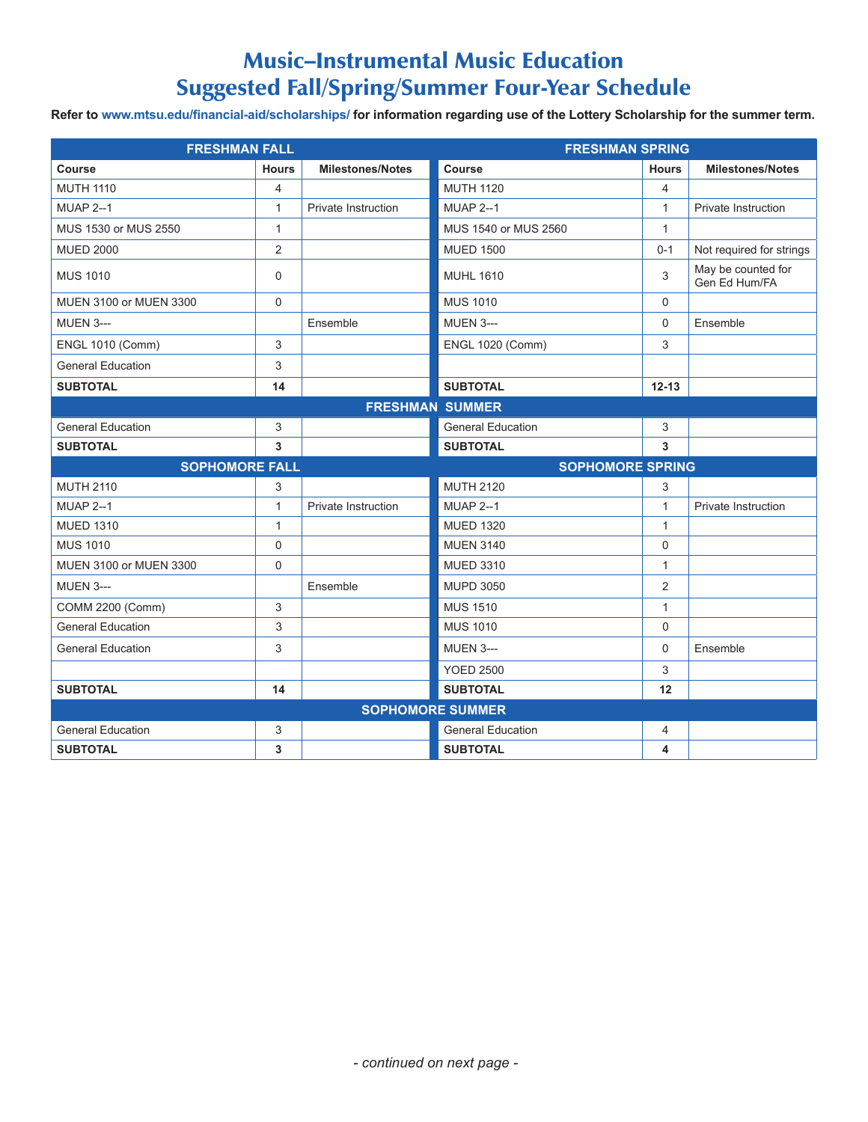### Music–Instrumental Music Education Suggested Fall/Spring/Summer Four-Year Schedule

Refer to www.mtsu.edu/financial-aid/scholarships/ for information regarding use of the Lottery Scholarship for the summer term.

| <b>FRESHMAN FALL</b>     |                |                            | <b>FRESHMAN SPRING</b>   |                |                                     |
|--------------------------|----------------|----------------------------|--------------------------|----------------|-------------------------------------|
| <b>Course</b>            | <b>Hours</b>   | <b>Milestones/Notes</b>    | Course                   | <b>Hours</b>   | <b>Milestones/Notes</b>             |
| <b>MUTH 1110</b>         | 4              |                            | <b>MUTH 1120</b>         | $\overline{4}$ |                                     |
| <b>MUAP 2--1</b>         | $\mathbf{1}$   | <b>Private Instruction</b> | <b>MUAP 2--1</b>         | $\mathbf{1}$   | <b>Private Instruction</b>          |
| MUS 1530 or MUS 2550     | $\mathbf{1}$   |                            | MUS 1540 or MUS 2560     | $\mathbf{1}$   |                                     |
| <b>MUED 2000</b>         | $\overline{2}$ |                            | <b>MUED 1500</b>         | $0 - 1$        | Not required for strings            |
| <b>MUS 1010</b>          | 0              |                            | <b>MUHL 1610</b>         | 3              | May be counted for<br>Gen Ed Hum/FA |
| MUEN 3100 or MUEN 3300   | $\mathbf 0$    |                            | <b>MUS 1010</b>          | $\Omega$       |                                     |
| <b>MUEN 3---</b>         |                | Ensemble                   | <b>MUEN 3---</b>         | $\mathbf 0$    | Ensemble                            |
| <b>ENGL 1010 (Comm)</b>  | 3              |                            | <b>ENGL 1020 (Comm)</b>  | 3              |                                     |
| <b>General Education</b> | 3              |                            |                          |                |                                     |
| <b>SUBTOTAL</b>          | 14             |                            | <b>SUBTOTAL</b>          | $12 - 13$      |                                     |
| <b>FRESHMAN SUMMER</b>   |                |                            |                          |                |                                     |
| <b>General Education</b> | 3              |                            | <b>General Education</b> | 3              |                                     |
| <b>SUBTOTAL</b>          | 3              |                            | <b>SUBTOTAL</b>          | 3              |                                     |
| <b>SOPHOMORE FALL</b>    |                |                            | <b>SOPHOMORE SPRING</b>  |                |                                     |
| <b>MUTH 2110</b>         | 3              |                            | <b>MUTH 2120</b>         | 3              |                                     |
| <b>MUAP 2--1</b>         | 1              | <b>Private Instruction</b> | <b>MUAP 2--1</b>         | $\mathbf{1}$   | Private Instruction                 |
| <b>MUED 1310</b>         | $\mathbf{1}$   |                            | <b>MUED 1320</b>         | $\mathbf{1}$   |                                     |
| <b>MUS 1010</b>          | 0              |                            | <b>MUEN 3140</b>         | $\mathbf 0$    |                                     |
| MUEN 3100 or MUEN 3300   | 0              |                            | <b>MUED 3310</b>         | $\mathbf{1}$   |                                     |
| <b>MUEN 3---</b>         |                | Ensemble                   | <b>MUPD 3050</b>         | 2              |                                     |
| COMM 2200 (Comm)         | 3              |                            | <b>MUS 1510</b>          | $\mathbf{1}$   |                                     |
| <b>General Education</b> | 3              |                            | <b>MUS 1010</b>          | $\mathbf 0$    |                                     |
| <b>General Education</b> | 3              |                            | <b>MUEN 3---</b>         | $\Omega$       | Ensemble                            |
|                          |                |                            | <b>YOED 2500</b>         | 3              |                                     |
| <b>SUBTOTAL</b>          | 14             |                            | <b>SUBTOTAL</b>          | 12             |                                     |
| <b>SOPHOMORE SUMMER</b>  |                |                            |                          |                |                                     |
| <b>General Education</b> | 3              |                            | <b>General Education</b> | 4              |                                     |
| <b>SUBTOTAL</b>          | 3              |                            | <b>SUBTOTAL</b>          | 4              |                                     |